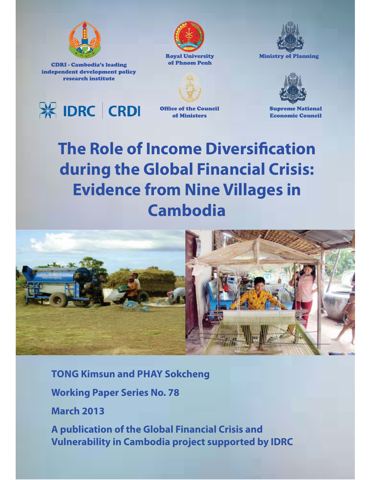

CDRI - Cambodia's leading independent development policy research institute





Ministry of Planning





Office of the Council of Ministers



Supreme National Economic Council

# **The Role of Income Diversification during the Global Financial Crisis: Evidence from Nine Villages in Cambodia**



**TONG Kimsun and PHAY Sokcheng**

**Working Paper Series No. 78**

**March 2013**

**A publication of the Global Financial Crisis and Vulnerability in Cambodia project supported by IDRC**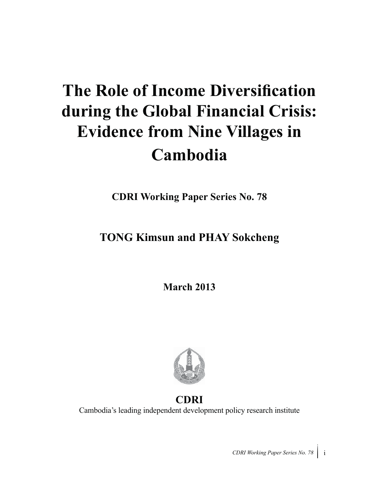# **The Role of Income Diversification during the Global Financial Crisis: Evidence from Nine Villages in Cambodia**

**CDRI Working Paper Series No. 78**

# **TONG Kimsun and PHAY Sokcheng**

**March 2013**



# **CDRI**

Cambodia's leading independent development policy research institute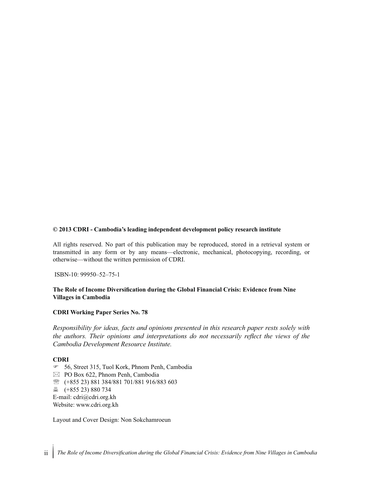#### **© 2013 CDRI - Cambodia's leading independent development policy research institute**

All rights reserved. No part of this publication may be reproduced, stored in a retrieval system or transmitted in any form or by any means—electronic, mechanical, photocopying, recording, or otherwise—without the written permission of CDRI.

ISBN-10: 99950–52–75-1

#### **The Role of Income Diversification during the Global Financial Crisis: Evidence from Nine Villages in Cambodia**

#### **CDRI Working Paper Series No. 78**

*Responsibility for ideas, facts and opinions presented in this research paper rests solely with the authors. Their opinions and interpretations do not necessarily reflect the views of the Cambodia Development Resource Institute.*

#### **CDRI**

- 56, Street 315, Tuol Kork, Phnom Penh, Cambodia  $\boxtimes$  PO Box 622, Phnom Penh, Cambodia

- ℡ (+855 23) 881 384/881 701/881 916/883 603
- (+855 23) 880 734
- E-mail: cdri@cdri.org.kh

Website: www.cdri.org.kh

Layout and Cover Design: Non Sokchamroeun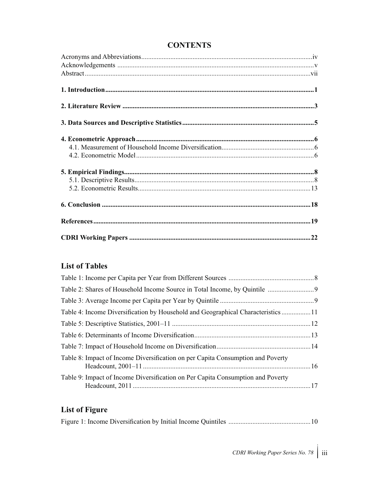## **CONTENTS**

### **List of Tables**

| Table 4: Income Diversification by Household and Geographical Characteristics  11 |  |
|-----------------------------------------------------------------------------------|--|
|                                                                                   |  |
|                                                                                   |  |
|                                                                                   |  |
| Table 8: Impact of Income Diversification on per Capita Consumption and Poverty   |  |
| Table 9: Impact of Income Diversification on Per Capita Consumption and Poverty   |  |

## **List of Figure**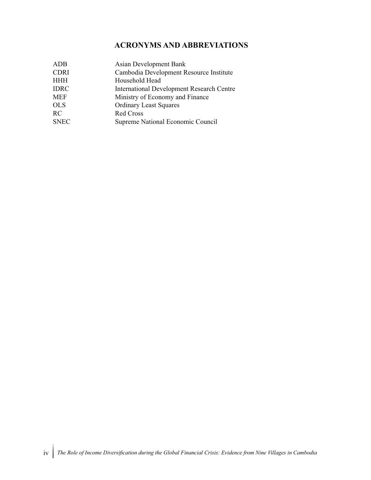### **ACRONYMS AND ABBREVIATIONS**

| ADB         | Asian Development Bank                           |
|-------------|--------------------------------------------------|
| <b>CDRI</b> | Cambodia Development Resource Institute          |
| <b>HHH</b>  | Household Head                                   |
| <b>IDRC</b> | <b>International Development Research Centre</b> |
| <b>MEF</b>  | Ministry of Economy and Finance                  |
| <b>OLS</b>  | <b>Ordinary Least Squares</b>                    |
| RC          | <b>Red Cross</b>                                 |
| <b>SNEC</b> | Supreme National Economic Council                |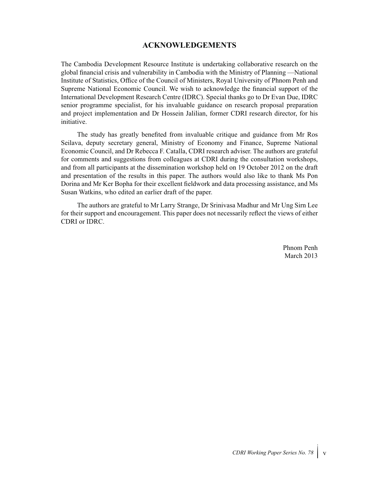#### **ACKNOWLEDGEMENTS**

The Cambodia Development Resource Institute is undertaking collaborative research on the global financial crisis and vulnerability in Cambodia with the Ministry of Planning —National Institute of Statistics, Office of the Council of Ministers, Royal University of Phnom Penh and Supreme National Economic Council. We wish to acknowledge the financial support of the International Development Research Centre (IDRC). Special thanks go to Dr Evan Due, IDRC senior programme specialist, for his invaluable guidance on research proposal preparation and project implementation and Dr Hossein Jalilian, former CDRI research director, for his initiative.

The study has greatly benefited from invaluable critique and guidance from Mr Ros Seilava, deputy secretary general, Ministry of Economy and Finance, Supreme National Economic Council, and Dr Rebecca F. Catalla, CDRI research adviser. The authors are grateful for comments and suggestions from colleagues at CDRI during the consultation workshops, and from all participants at the dissemination workshop held on 19 October 2012 on the draft and presentation of the results in this paper. The authors would also like to thank Ms Pon Dorina and Mr Ker Bopha for their excellent fieldwork and data processing assistance, and Ms Susan Watkins, who edited an earlier draft of the paper.

The authors are grateful to Mr Larry Strange, Dr Srinivasa Madhur and Mr Ung Sirn Lee for their support and encouragement. This paper does not necessarily reflect the views of either CDRI or IDRC.

> Phnom Penh March 2013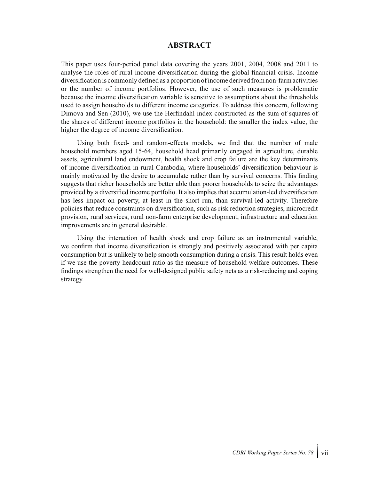#### **ABSTRACT**

This paper uses four-period panel data covering the years 2001, 2004, 2008 and 2011 to analyse the roles of rural income diversification during the global financial crisis. Income diversification is commonly defined as a proportion of income derived from non-farm activities or the number of income portfolios. However, the use of such measures is problematic because the income diversification variable is sensitive to assumptions about the thresholds used to assign households to different income categories. To address this concern, following Dimova and Sen (2010), we use the Herfindahl index constructed as the sum of squares of the shares of different income portfolios in the household: the smaller the index value, the higher the degree of income diversification.

Using both fixed- and random-effects models, we find that the number of male household members aged 15-64, household head primarily engaged in agriculture, durable assets, agricultural land endowment, health shock and crop failure are the key determinants of income diversification in rural Cambodia, where households' diversification behaviour is mainly motivated by the desire to accumulate rather than by survival concerns. This finding suggests that richer households are better able than poorer households to seize the advantages provided by a diversified income portfolio. It also implies that accumulation-led diversification has less impact on poverty, at least in the short run, than survival-led activity. Therefore policies that reduce constraints on diversification, such as risk reduction strategies, microcredit provision, rural services, rural non-farm enterprise development, infrastructure and education improvements are in general desirable.

Using the interaction of health shock and crop failure as an instrumental variable, we confirm that income diversification is strongly and positively associated with per capita consumption but is unlikely to help smooth consumption during a crisis. This result holds even if we use the poverty headcount ratio as the measure of household welfare outcomes. These findings strengthen the need for well-designed public safety nets as a risk-reducing and coping strategy.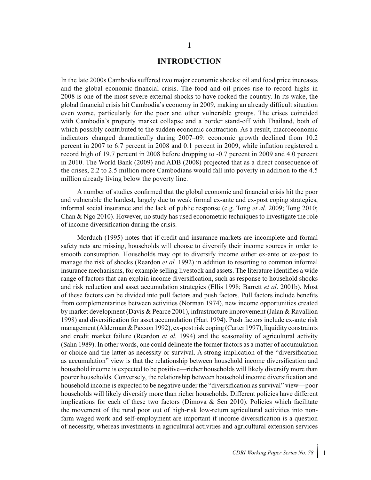#### **INTRODUCTION**

In the late 2000s Cambodia suffered two major economic shocks: oil and food price increases and the global economic-financial crisis. The food and oil prices rise to record highs in 2008 is one of the most severe external shocks to have rocked the country. In its wake, the global financial crisis hit Cambodia's economy in 2009, making an already difficult situation even worse, particularly for the poor and other vulnerable groups. The crises coincided with Cambodia's property market collapse and a border stand-off with Thailand, both of which possibly contributed to the sudden economic contraction. As a result, macroeconomic indicators changed dramatically during 2007–09: economic growth declined from 10.2 percent in 2007 to 6.7 percent in 2008 and 0.1 percent in 2009, while inflation registered a record high of 19.7 percent in 2008 before dropping to -0.7 percent in 2009 and 4.0 percent in 2010. The World Bank (2009) and ADB (2008) projected that as a direct consequence of the crises, 2.2 to 2.5 million more Cambodians would fall into poverty in addition to the 4.5 million already living below the poverty line.

A number of studies confirmed that the global economic and financial crisis hit the poor and vulnerable the hardest, largely due to weak formal ex-ante and ex-post coping strategies, informal social insurance and the lack of public response (e.g. Tong *et al.* 2009; Tong 2010; Chan & Ngo 2010). However, no study has used econometric techniques to investigate the role of income diversification during the crisis.

Morduch (1995) notes that if credit and insurance markets are incomplete and formal safety nets are missing, households will choose to diversify their income sources in order to smooth consumption. Households may opt to diversify income either ex-ante or ex-post to manage the risk of shocks (Reardon *et al.* 1992) in addition to resorting to common informal insurance mechanisms, for example selling livestock and assets. The literature identifies a wide range of factors that can explain income diversification, such as response to household shocks and risk reduction and asset accumulation strategies (Ellis 1998; Barrett *et al*. 2001b). Most of these factors can be divided into pull factors and push factors. Pull factors include benefits from complementarities between activities (Norman 1974), new income opportunities created by market development (Davis & Pearce 2001), infrastructure improvement (Jalan & Ravallion 1998) and diversification for asset accumulation (Hart 1994). Push factors include ex-ante risk management (Alderman & Paxson 1992), ex-post risk coping (Carter 1997), liquidity constraints and credit market failure (Reardon *et al.* 1994) and the seasonality of agricultural activity (Sahn 1989). In other words, one could delineate the former factors as a matter of accumulation or choice and the latter as necessity or survival. A strong implication of the "diversification as accumulation" view is that the relationship between household income diversification and household income is expected to be positive—richer households will likely diversify more than poorer households. Conversely, the relationship between household income diversification and household income is expected to be negative under the "diversification as survival" view—poor households will likely diversify more than richer households. Different policies have different implications for each of these two factors (Dimova  $\&$  Sen 2010). Policies which facilitate the movement of the rural poor out of high-risk low-return agricultural activities into nonfarm waged work and self-employment are important if income diversification is a question of necessity, whereas investments in agricultural activities and agricultural extension services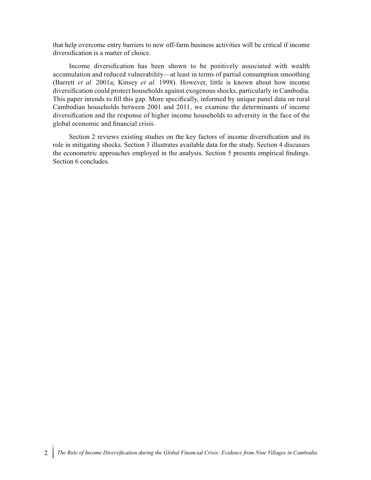that help overcome entry barriers to new off-farm business activities will be critical if income diversification is a matter of choice.

Income diversification has been shown to be positively associated with wealth accumulation and reduced vulnerability—at least in terms of partial consumption smoothing (Barrett *et al.* 2001a; Kinsey *et al.* 1998). However, little is known about how income diversification could protect households against exogenous shocks, particularly in Cambodia. This paper intends to fill this gap. More specifically, informed by unique panel data on rural Cambodian households between 2001 and 2011, we examine the determinants of income diversification and the response of higher income households to adversity in the face of the global economic and financial crisis.

Section 2 reviews existing studies on the key factors of income diversification and its role in mitigating shocks. Section 3 illustrates available data for the study. Section 4 discusses the econometric approaches employed in the analysis. Section 5 presents empirical findings. Section 6 concludes.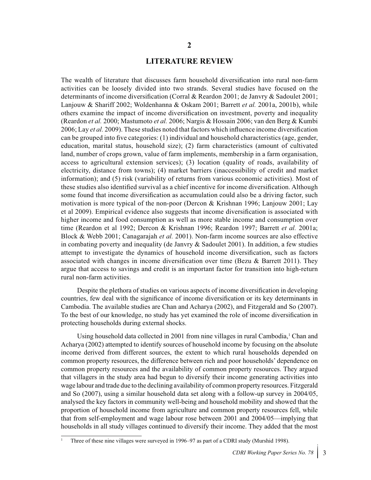#### **LITERATURE REVIEW**

The wealth of literature that discusses farm household diversification into rural non-farm activities can be loosely divided into two strands. Several studies have focused on the determinants of income diversification (Corral & Reardon 2001; de Janvry & Sadoulet 2001; Lanjouw & Shariff 2002; Woldenhanna & Oskam 2001; Barrett *et al.* 2001a, 2001b), while others examine the impact of income diversification on investment, poverty and inequality (Reardon *et al.* 2000; Mastumoto *et al.* 2006; Nargis & Hossain 2006; van den Berg & Kumbi 2006; Lay *et al.* 2009). These studies noted that factors which influence income diversification can be grouped into five categories: (1) individual and household characteristics (age, gender, education, marital status, household size); (2) farm characteristics (amount of cultivated land, number of crops grown, value of farm implements, membership in a farm organisation, access to agricultural extension services); (3) location (quality of roads, availability of electricity, distance from towns); (4) market barriers (inaccessibility of credit and market information); and (5) risk (variability of returns from various economic activities). Most of these studies also identified survival as a chief incentive for income diversification. Although some found that income diversification as accumulation could also be a driving factor, such motivation is more typical of the non-poor (Dercon & Krishnan 1996; Lanjouw 2001; Lay et al 2009). Empirical evidence also suggests that income diversification is associated with higher income and food consumption as well as more stable income and consumption over time (Reardon et al 1992; Dercon & Krishnan 1996; Reardon 1997; Barrett *et al.* 2001a; Block & Webb 2001; Canagarajah *et al.* 2001). Non-farm income sources are also effective in combating poverty and inequality (de Janvry & Sadoulet 2001). In addition, a few studies attempt to investigate the dynamics of household income diversification, such as factors associated with changes in income diversification over time (Bezu & Barrett 2011). They argue that access to savings and credit is an important factor for transition into high-return rural non-farm activities.

Despite the plethora of studies on various aspects of income diversification in developing countries, few deal with the significance of income diversification or its key determinants in Cambodia. The available studies are Chan and Acharya (2002), and Fitzgerald and So (2007). To the best of our knowledge, no study has yet examined the role of income diversification in protecting households during external shocks.

Using household data collected in 2001 from nine villages in rural Cambodia,<sup>1</sup> Chan and Acharya (2002) attempted to identify sources of household income by focusing on the absolute income derived from different sources, the extent to which rural households depended on common property resources, the difference between rich and poor households' dependence on common property resources and the availability of common property resources. They argued that villagers in the study area had begun to diversify their income generating activities into wage labour and trade due to the declining availability of common property resources. Fitzgerald and So (2007), using a similar household data set along with a follow-up survey in 2004/05, analysed the key factors in community well-being and household mobility and showed that the proportion of household income from agriculture and common property resources fell, while that from self-employment and wage labour rose between 2001 and 2004/05—implying that households in all study villages continued to diversify their income. They added that the most

<sup>1</sup> Three of these nine villages were surveyed in 1996–97 as part of a CDRI study (Murshid 1998).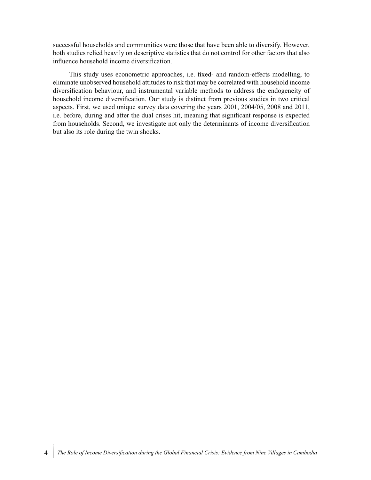successful households and communities were those that have been able to diversify. However, both studies relied heavily on descriptive statistics that do not control for other factors that also influence household income diversification.

This study uses econometric approaches, i.e. fixed- and random-effects modelling, to eliminate unobserved household attitudes to risk that may be correlated with household income diversification behaviour, and instrumental variable methods to address the endogeneity of household income diversification. Our study is distinct from previous studies in two critical aspects. First, we used unique survey data covering the years 2001, 2004/05, 2008 and 2011, i.e. before, during and after the dual crises hit, meaning that significant response is expected from households. Second, we investigate not only the determinants of income diversification but also its role during the twin shocks.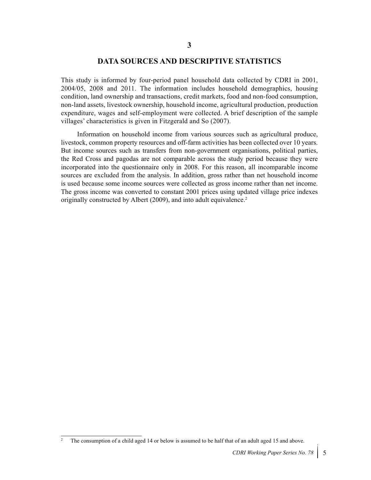#### **DATA SOURCES AND DESCRIPTIVE STATISTICS**

This study is informed by four-period panel household data collected by CDRI in 2001, 2004/05, 2008 and 2011. The information includes household demographics, housing condition, land ownership and transactions, credit markets, food and non-food consumption, non-land assets, livestock ownership, household income, agricultural production, production expenditure, wages and self-employment were collected. A brief description of the sample villages' characteristics is given in Fitzgerald and So (2007).

Information on household income from various sources such as agricultural produce, livestock, common property resources and off-farm activities has been collected over 10 years. But income sources such as transfers from non-government organisations, political parties, the Red Cross and pagodas are not comparable across the study period because they were incorporated into the questionnaire only in 2008. For this reason, all incomparable income sources are excluded from the analysis. In addition, gross rather than net household income is used because some income sources were collected as gross income rather than net income. The gross income was converted to constant 2001 prices using updated village price indexes originally constructed by Albert (2009), and into adult equivalence.<sup>2</sup>

<sup>2</sup> The consumption of a child aged 14 or below is assumed to be half that of an adult aged 15 and above.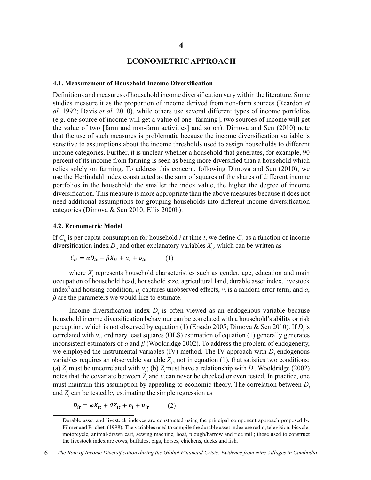#### **ECONOMETRIC APPROACH**

#### **4.1. Measurement of Household Income Diversification**

Definitions and measures of household income diversification vary within the literature. Some studies measure it as the proportion of income derived from non-farm sources (Reardon *et al.* 1992; Davis *et al.* 2010), while others use several different types of income portfolios (e.g. one source of income will get a value of one [farming], two sources of income will get the value of two [farm and non-farm activities] and so on). Dimova and Sen (2010) note that the use of such measures is problematic because the income diversification variable is sensitive to assumptions about the income thresholds used to assign households to different income categories. Further, it is unclear whether a household that generates, for example, 90 percent of its income from farming is seen as being more diversified than a household which relies solely on farming. To address this concern, following Dimova and Sen (2010), we use the Herfindahl index constructed as the sum of squares of the shares of different income portfolios in the household: the smaller the index value, the higher the degree of income diversification. This measure is more appropriate than the above measures because it does not need additional assumptions for grouping households into different income diversification categories (Dimova & Sen 2010; Ellis 2000b).

#### **4.2. Econometric Model**

If  $C_i$  is per capita consumption for household *i* at time *t*, we define  $C_i$  as a function of income diversification index  $D_{ij}$  and other explanatory variables  $X_{ij}$ , which can be written as

$$
C_{it} = \alpha D_{it} + \beta X_{it} + a_i + v_{it} \tag{1}
$$

where  $X_i$  represents household characteristics such as gender, age, education and main occupation of household head, household size, agricultural land, durable asset index, livestock index<sup>3</sup> and housing condition;  $a_i$  captures unobserved effects,  $v_i$  is a random error term; and  $a$ , *β* are the parameters we would like to estimate.

Income diversification index  $D_i$  is often viewed as an endogenous variable because household income diversification behaviour can be correlated with a household's ability or risk perception, which is not observed by equation (1) (Ersado 2005; Dimova & Sen 2010). If *D*<sub>*i*</sub> is correlated with *v<sub>i</sub>*, ordinary least squares (OLS) estimation of equation (1) generally generates inconsistent estimators of *a* and *β* (Wooldridge 2002). To address the problem of endogeneity, we employed the instrumental variables (IV) method. The IV approach with  $D<sub>i</sub>$  endogenous variables requires an observable variable  $Z_i$ , not in equation (1), that satisfies two conditions: (a)  $Z_i$  must be uncorrelated with  $v_i$ ; (b)  $Z_i$  must have a relationship with  $D_i$ . Wooldridge (2002) notes that the covariate between  $Z_i$  and  $v_i$  can never be checked or even tested. In practice, one must maintain this assumption by appealing to economic theory. The correlation between *D*<sub>i</sub> and *Zi* can be tested by estimating the simple regression as

$$
D_{it} = \varphi X_{it} + \theta Z_{it} + b_i + u_{it} \tag{2}
$$

<sup>3</sup> Durable asset and livestock indexes are constructed using the principal component approach proposed by Filmer and Prichett (1998). The variables used to compile the durable asset index are radio, television, bicycle, motorcycle, animal-drawn cart, sewing machine, boat, plough/harrow and rice mill; those used to construct the livestock index are cows, buffalos, pigs, horses, chickens, ducks and fish.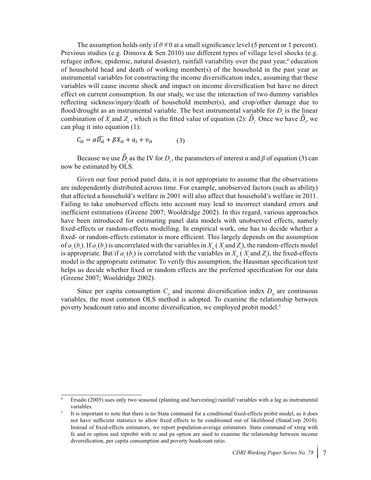The assumption holds only if  $\theta \neq 0$  at a small significance level (5 percent or 1 percent). Previous studies (e.g. Dimova & Sen 2010) use different types of village level shocks (e.g. refugee inflow, epidemic, natural disaster), rainfall variability over the past year,<sup>4</sup> education of household head and death of working member(s) of the household in the past year as instrumental variables for constructing the income diversification index, assuming that these variables will cause income shock and impact on income diversification but have no direct effect on current consumption. In our study, we use the interaction of two dummy variables reflecting sickness/injury/death of household member(s), and crop/other damage due to flood/drought as an instrumental variable. The best instrumental variable for  $D_i$  is the linear combination of  $X_i$  and  $Z_i$ , which is the fitted value of equation (2):  $\hat{D}_i$ . Once we have  $\hat{D}_i$ , we can plug it into equation (1):

$$
C_{it} = \alpha \widehat{D_{it}} + \beta X_{it} + a_i + v_{it} \tag{3}
$$

Because we use  $\hat{D}_i$  as the IV for  $D_i$ , the parameters of interest  $\alpha$  and  $\beta$  of equation (3) can now be estimated by OLS.

Given our four period panel data, it is not appropriate to assume that the observations are independently distributed across time. For example, unobserved factors (such as ability) that affected a household's welfare in 2001 will also affect that household's welfare in 2011. Failing to take unobserved effects into account may lead to incorrect standard errors and inefficient estimations (Greene 2007; Wooldridge 2002). In this regard, various approaches have been introduced for estimating panel data models with unobserved effects, namely fixed-effects or random-effects modelling. In empirical work, one has to decide whether a fixed- or random-effects estimator is more efficient. This largely depends on the assumption of  $a_i(b_j)$ . If  $a_i(b_j)$  is uncorrelated with the variables in  $X_i(X_i)$  and  $Z_j$ , the random-effects model is appropriate. But if  $a_i(b_i)$  is correlated with the variables in  $X_i(X_i)$  and  $Z_i$ , the fixed-effects model is the appropriate estimator. To verify this assumption, the Hausman specification test helps us decide whether fixed or random effects are the preferred specification for our data (Greene 2007; Wooldridge 2002).

Since per capita consumption  $C_i$  and income diversification index  $D_i$  are continuous variables, the most common OLS method is adopted. To examine the relationship between poverty headcount ratio and income diversification, we employed probit model.<sup>5</sup>

<sup>4</sup> Ersado (2005) uses only two seasonal (planting and harvesting) rainfall variables with a lag as instrumental variables.

It is important to note that there is no Stata command for a conditional fixed-effects probit model, as it does not have sufficient statistics to allow fixed effects to be conditioned out of likelihood (StataCorp 2010). Instead of fixed-effects estimators, we report population-average estimators. Stata command of xtreg with fe and re option and xtprobit with re and pa option are used to examine the relationship between income diversification, per capita consumption and poverty headcount ratio.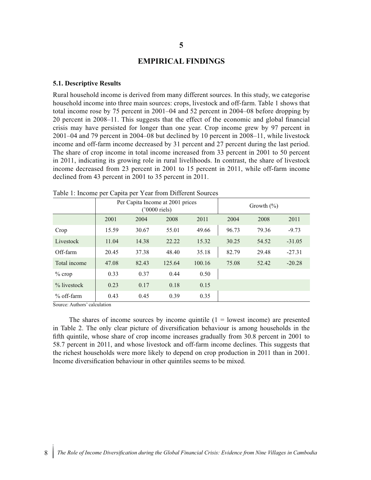#### **EMPIRICAL FINDINGS**

#### **5.1. Descriptive Results**

Rural household income is derived from many different sources. In this study, we categorise household income into three main sources: crops, livestock and off-farm. Table 1 shows that total income rose by 75 percent in 2001–04 and 52 percent in 2004–08 before dropping by 20 percent in 2008–11. This suggests that the effect of the economic and global financial crisis may have persisted for longer than one year. Crop income grew by 97 percent in 2001–04 and 79 percent in 2004–08 but declined by 10 percent in 2008–11, while livestock income and off-farm income decreased by 31 percent and 27 percent during the last period. The share of crop income in total income increased from 33 percent in 2001 to 50 percent in 2011, indicating its growing role in rural livelihoods. In contrast, the share of livestock income decreased from 23 percent in 2001 to 15 percent in 2011, while off-farm income declined from 43 percent in 2001 to 35 percent in 2011.

|                | л.<br>ж.<br>$\overline{ }$<br>Per Capita Income at 2001 prices<br>$('0000$ riels) |       |        |        | Growth $(\%)$ |       |          |
|----------------|-----------------------------------------------------------------------------------|-------|--------|--------|---------------|-------|----------|
|                | 2001                                                                              | 2004  | 2008   | 2011   | 2004          | 2008  | 2011     |
| Crop           | 15.59                                                                             | 30.67 | 55.01  | 49.66  | 96.73         | 79.36 | $-9.73$  |
| Livestock      | 11.04                                                                             | 14.38 | 22.22  | 15.32  | 30.25         | 54.52 | $-31.05$ |
| Off-farm       | 20.45                                                                             | 37.38 | 48.40  | 35.18  | 82.79         | 29.48 | $-27.31$ |
| Total income   | 47.08                                                                             | 82.43 | 125.64 | 100.16 | 75.08         | 52.42 | $-20.28$ |
| $\%$ crop      | 0.33                                                                              | 0.37  | 0.44   | 0.50   |               |       |          |
| $\%$ livestock | 0.23                                                                              | 0.17  | 0.18   | 0.15   |               |       |          |
| $%$ off-farm   | 0.43                                                                              | 0.45  | 0.39   | 0.35   |               |       |          |

Table 1: Income per Capita per Year from Different Sources

Source: Authors' calculation

The shares of income sources by income quintile  $(1 =$  lowest income) are presented in Table 2. The only clear picture of diversification behaviour is among households in the fifth quintile, whose share of crop income increases gradually from 30.8 percent in 2001 to 58.7 percent in 2011, and whose livestock and off-farm income declines. This suggests that the richest households were more likely to depend on crop production in 2011 than in 2001. Income diversification behaviour in other quintiles seems to be mixed.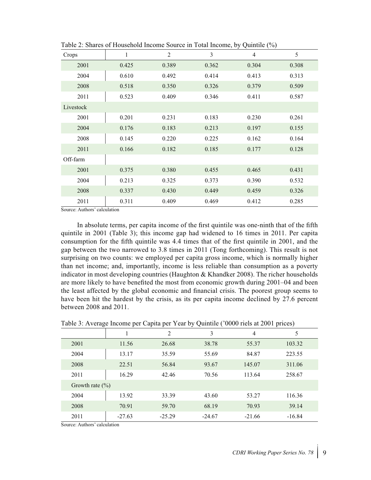| Crops     | $\mathbf{1}$ | $\overline{2}$ | 3     | $\overline{4}$ | 5     |
|-----------|--------------|----------------|-------|----------------|-------|
| 2001      | 0.425        | 0.389          | 0.362 | 0.304          | 0.308 |
| 2004      | 0.610        | 0.492          | 0.414 | 0.413          | 0.313 |
| 2008      | 0.518        | 0.350          | 0.326 | 0.379          | 0.509 |
| 2011      | 0.523        | 0.409          | 0.346 | 0.411          | 0.587 |
| Livestock |              |                |       |                |       |
| 2001      | 0.201        | 0.231          | 0.183 | 0.230          | 0.261 |
| 2004      | 0.176        | 0.183          | 0.213 | 0.197          | 0.155 |
| 2008      | 0.145        | 0.220          | 0.225 | 0.162          | 0.164 |
| 2011      | 0.166        | 0.182          | 0.185 | 0.177          | 0.128 |
| Off-farm  |              |                |       |                |       |
| 2001      | 0.375        | 0.380          | 0.455 | 0.465          | 0.431 |
| 2004      | 0.213        | 0.325          | 0.373 | 0.390          | 0.532 |
| 2008      | 0.337        | 0.430          | 0.449 | 0.459          | 0.326 |
| 2011      | 0.311        | 0.409          | 0.469 | 0.412          | 0.285 |

Table 2: Shares of Household Income Source in Total Income, by Quintile (%)

Source: Authors' calculation

In absolute terms, per capita income of the first quintile was one-ninth that of the fifth quintile in 2001 (Table 3); this income gap had widened to 16 times in 2011. Per capita consumption for the fifth quintile was 4.4 times that of the first quintile in 2001, and the gap between the two narrowed to 3.8 times in 2011 (Tong forthcoming). This result is not surprising on two counts: we employed per capita gross income, which is normally higher than net income; and, importantly, income is less reliable than consumption as a poverty indicator in most developing countries (Haughton & Khandker 2008). The richer households are more likely to have benefited the most from economic growth during 2001–04 and been the least affected by the global economic and financial crisis. The poorest group seems to have been hit the hardest by the crisis, as its per capita income declined by 27.6 percent between 2008 and 2011.

| Table 3: Average Income per Capita per Year by Quintile ('0000 riels at 2001 prices) |  |  |
|--------------------------------------------------------------------------------------|--|--|
|                                                                                      |  |  |

|                     |          | $\overline{c}$ | 3        | $\overline{4}$ | 5        |
|---------------------|----------|----------------|----------|----------------|----------|
| 2001                | 11.56    | 26.68          | 38.78    | 55.37          | 103.32   |
| 2004                | 13.17    | 35.59          | 55.69    | 84.87          | 223.55   |
| 2008                | 22.51    | 56.84          | 93.67    | 145.07         | 311.06   |
| 2011                | 16.29    | 42.46          | 70.56    | 113.64         | 258.67   |
| Growth rate $(\% )$ |          |                |          |                |          |
| 2004                | 13.92    | 33.39          | 43.60    | 53.27          | 116.36   |
| 2008                | 70.91    | 59.70          | 68.19    | 70.93          | 39.14    |
| 2011                | $-27.63$ | $-25.29$       | $-24.67$ | $-21.66$       | $-16.84$ |

Source: Authors' calculation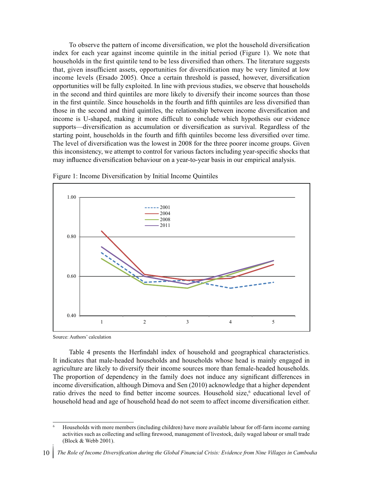To observe the pattern of income diversification, we plot the household diversification index for each year against income quintile in the initial period (Figure 1). We note that households in the first quintile tend to be less diversified than others. The literature suggests that, given insufficient assets, opportunities for diversification may be very limited at low income levels (Ersado 2005). Once a certain threshold is passed, however, diversification opportunities will be fully exploited. In line with previous studies, we observe that households in the second and third quintiles are more likely to diversify their income sources than those in the first quintile. Since households in the fourth and fifth quintiles are less diversified than those in the second and third quintiles, the relationship between income diversification and income is U-shaped, making it more difficult to conclude which hypothesis our evidence supports—diversification as accumulation or diversification as survival. Regardless of the starting point, households in the fourth and fifth quintiles become less diversified over time. The level of diversification was the lowest in 2008 for the three poorer income groups. Given this inconsistency, we attempt to control for various factors including year-specific shocks that may influence diversification behaviour on a year-to-year basis in our empirical analysis.



Figure 1: Income Diversification by Initial Income Quintiles

Source: Authors' calculation

Table 4 presents the Herfindahl index of household and geographical characteristics. It indicates that male-headed households and households whose head is mainly engaged in agriculture are likely to diversify their income sources more than female-headed households. The proportion of dependency in the family does not induce any significant differences in income diversification, although Dimova and Sen (2010) acknowledge that a higher dependent ratio drives the need to find better income sources. Household size,<sup>6</sup> educational level of household head and age of household head do not seem to affect income diversification either.

<sup>6</sup> Households with more members (including children) have more available labour for off-farm income earning activities such as collecting and selling firewood, management of livestock, daily waged labour or small trade (Block & Webb 2001).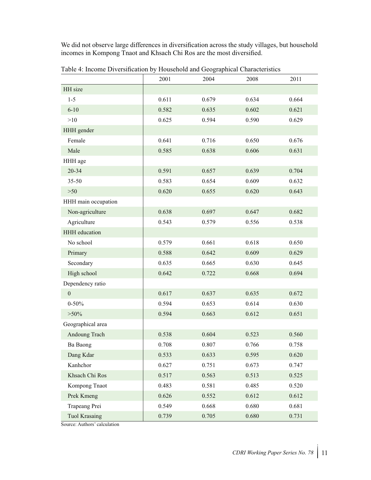We did not observe large differences in diversification across the study villages, but household incomes in Kompong Tnaot and Khsach Chi Ros are the most diversified.

|                      | 2001  | 2004  | 2008  | 2011  |
|----------------------|-------|-------|-------|-------|
| HH size              |       |       |       |       |
| $1 - 5$              | 0.611 | 0.679 | 0.634 | 0.664 |
| $6 - 10$             | 0.582 | 0.635 | 0.602 | 0.621 |
| >10                  | 0.625 | 0.594 | 0.590 | 0.629 |
| HHH gender           |       |       |       |       |
| Female               | 0.641 | 0.716 | 0.650 | 0.676 |
| Male                 | 0.585 | 0.638 | 0.606 | 0.631 |
| HHH age              |       |       |       |       |
| 20-34                | 0.591 | 0.657 | 0.639 | 0.704 |
| $35 - 50$            | 0.583 | 0.654 | 0.609 | 0.632 |
| $>50$                | 0.620 | 0.655 | 0.620 | 0.643 |
| HHH main occupation  |       |       |       |       |
| Non-agriculture      | 0.638 | 0.697 | 0.647 | 0.682 |
| Agriculture          | 0.543 | 0.579 | 0.556 | 0.538 |
| <b>HHH</b> education |       |       |       |       |
| No school            | 0.579 | 0.661 | 0.618 | 0.650 |
| Primary              | 0.588 | 0.642 | 0.609 | 0.629 |
| Secondary            | 0.635 | 0.665 | 0.630 | 0.645 |
| High school          | 0.642 | 0.722 | 0.668 | 0.694 |
| Dependency ratio     |       |       |       |       |
| $\boldsymbol{0}$     | 0.617 | 0.637 | 0.635 | 0.672 |
| $0 - 50%$            | 0.594 | 0.653 | 0.614 | 0.630 |
| $>50\%$              | 0.594 | 0.663 | 0.612 | 0.651 |
| Geographical area    |       |       |       |       |
| Andoung Trach        | 0.538 | 0.604 | 0.523 | 0.560 |
| Ba Baong             | 0.708 | 0.807 | 0.766 | 0.758 |
| Dang Kdar            | 0.533 | 0.633 | 0.595 | 0.620 |
| Kanhchor             | 0.627 | 0.751 | 0.673 | 0.747 |
| Khsach Chi Ros       | 0.517 | 0.563 | 0.513 | 0.525 |
| Kompong Tnaot        | 0.483 | 0.581 | 0.485 | 0.520 |
| Prek Kmeng           | 0.626 | 0.552 | 0.612 | 0.612 |
| Trapeang Prei        | 0.549 | 0.668 | 0.680 | 0.681 |
| <b>Tuol Krasaing</b> | 0.739 | 0.705 | 0.680 | 0.731 |

Table 4: Income Diversification by Household and Geographical Characteristics

Source: Authors' calculation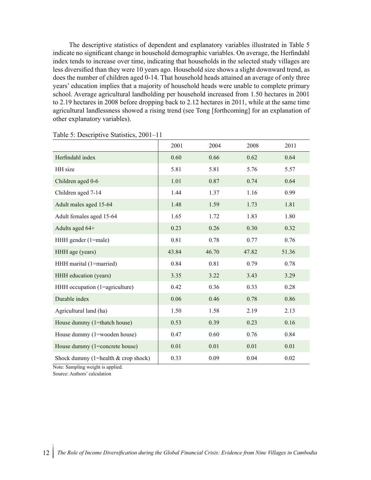The descriptive statistics of dependent and explanatory variables illustrated in Table 5 indicate no significant change in household demographic variables. On average, the Herfindahl index tends to increase over time, indicating that households in the selected study villages are less diversified than they were 10 years ago. Household size shows a slight downward trend, as does the number of children aged 0-14. That household heads attained an average of only three years' education implies that a majority of household heads were unable to complete primary school. Average agricultural landholding per household increased from 1.50 hectares in 2001 to 2.19 hectares in 2008 before dropping back to 2.12 hectares in 2011, while at the same time agricultural landlessness showed a rising trend (see Tong [forthcoming] for an explanation of other explanatory variables).

|                                       | 2001  | 2004  | 2008  | 2011  |
|---------------------------------------|-------|-------|-------|-------|
| Herfindahl index                      | 0.60  | 0.66  | 0.62  | 0.64  |
| HH size                               | 5.81  | 5.81  | 5.76  | 5.57  |
| Children aged 0-6                     | 1.01  | 0.87  | 0.74  | 0.64  |
| Children aged 7-14                    | 1.44  | 1.37  | 1.16  | 0.99  |
| Adult males aged 15-64                | 1.48  | 1.59  | 1.73  | 1.81  |
| Adult females aged 15-64              | 1.65  | 1.72  | 1.83  | 1.80  |
| Adults aged 64+                       | 0.23  | 0.26  | 0.30  | 0.32  |
| HHH gender (1=male)                   | 0.81  | 0.78  | 0.77  | 0.76  |
| HHH age (years)                       | 43.84 | 46.70 | 47.82 | 51.36 |
| HHH marital (1=married)               | 0.84  | 0.81  | 0.79  | 0.78  |
| HHH education (years)                 | 3.35  | 3.22  | 3.43  | 3.29  |
| HHH occupation (1=agriculture)        | 0.42  | 0.36  | 0.33  | 0.28  |
| Durable index                         | 0.06  | 0.46  | 0.78  | 0.86  |
| Agricultural land (ha)                | 1.50  | 1.58  | 2.19  | 2.13  |
| House dummy (1=thatch house)          | 0.53  | 0.39  | 0.23  | 0.16  |
| House dummy (1=wooden house)          | 0.47  | 0.60  | 0.76  | 0.84  |
| House dummy (1=concrete house)        | 0.01  | 0.01  | 0.01  | 0.01  |
| Shock dummy (1=health $&$ crop shock) | 0.33  | 0.09  | 0.04  | 0.02  |

|  | Table 5: Descriptive Statistics, 2001-11 |  |  |
|--|------------------------------------------|--|--|
|--|------------------------------------------|--|--|

Note: Sampling weight is applied.

Source: Authors' calculation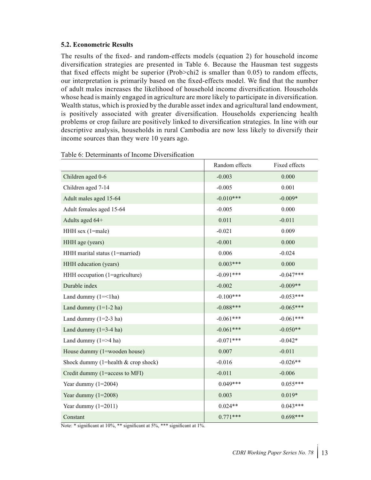#### **5.2. Econometric Results**

The results of the fixed- and random-effects models (equation 2) for household income diversification strategies are presented in Table 6. Because the Hausman test suggests that fixed effects might be superior (Prob>chi2 is smaller than 0.05) to random effects, our interpretation is primarily based on the fixed-effects model. We find that the number of adult males increases the likelihood of household income diversification. Households whose head is mainly engaged in agriculture are more likely to participate in diversification. Wealth status, which is proxied by the durable asset index and agricultural land endowment, is positively associated with greater diversification. Households experiencing health problems or crop failure are positively linked to diversification strategies. In line with our descriptive analysis, households in rural Cambodia are now less likely to diversify their income sources than they were 10 years ago.

|                                       | Random effects | Fixed effects |
|---------------------------------------|----------------|---------------|
| Children aged 0-6                     | $-0.003$       | 0.000         |
| Children aged 7-14                    | $-0.005$       | 0.001         |
| Adult males aged 15-64                | $-0.010***$    | $-0.009*$     |
| Adult females aged 15-64              | $-0.005$       | 0.000         |
| Adults aged 64+                       | 0.011          | $-0.011$      |
| HHH sex (1=male)                      | $-0.021$       | 0.009         |
| HHH age (years)                       | $-0.001$       | 0.000         |
| HHH marital status (1=married)        | 0.006          | $-0.024$      |
| HHH education (years)                 | $0.003***$     | 0.000         |
| HHH occupation (1=agriculture)        | $-0.091***$    | $-0.047***$   |
| Durable index                         | $-0.002$       | $-0.009**$    |
| Land dummy $(1 = < 1$ ha)             | $-0.100***$    | $-0.053***$   |
| Land dummy $(1=1-2$ ha)               | $-0.088***$    | $-0.065***$   |
| Land dummy $(1=2-3$ ha)               | $-0.061***$    | $-0.061***$   |
| Land dummy $(1=3-4$ ha)               | $-0.061***$    | $-0.050**$    |
| Land dummy $(1 = > 4$ ha)             | $-0.071***$    | $-0.042*$     |
| House dummy (1=wooden house)          | 0.007          | $-0.011$      |
| Shock dummy (1=health $&$ crop shock) | $-0.016$       | $-0.026**$    |
| Credit dummy (1=access to MFI)        | $-0.011$       | $-0.006$      |
| Year dummy $(1=2004)$                 | $0.049***$     | $0.055***$    |
| Year dummy $(1=2008)$                 | 0.003          | $0.019*$      |
| Year dummy $(1=2011)$                 | $0.024**$      | $0.043***$    |
| Constant                              | $0.771***$     | $0.698***$    |

Note: \* significant at 10%, \*\* significant at 5%, \*\*\* significant at 1%.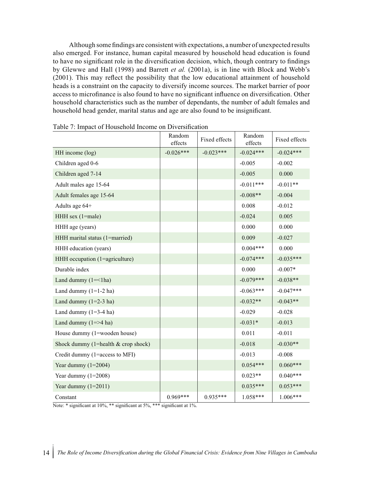Although some findings are consistent with expectations, a number of unexpected results also emerged. For instance, human capital measured by household head education is found to have no significant role in the diversification decision, which, though contrary to findings by Glewwe and Hall (1998) and Barrett *et al.* (2001a), is in line with Block and Webb's (2001). This may reflect the possibility that the low educational attainment of household heads is a constraint on the capacity to diversify income sources. The market barrier of poor access to microfinance is also found to have no significant influence on diversification. Other household characteristics such as the number of dependants, the number of adult females and household head gender, marital status and age are also found to be insignificant.

|                                       | Random<br>effects | Fixed effects | Random<br>effects | Fixed effects |
|---------------------------------------|-------------------|---------------|-------------------|---------------|
| HH income (log)                       | $-0.026***$       | $-0.023***$   | $-0.024***$       | $-0.024***$   |
| Children aged 0-6                     |                   |               | $-0.005$          | $-0.002$      |
| Children aged 7-14                    |                   |               | $-0.005$          | 0.000         |
| Adult males age 15-64                 |                   |               | $-0.011***$       | $-0.011**$    |
| Adult females age 15-64               |                   |               | $-0.008**$        | $-0.004$      |
| Adults age 64+                        |                   |               | 0.008             | $-0.012$      |
| HHH sex (1=male)                      |                   |               | $-0.024$          | 0.005         |
| HHH age (years)                       |                   |               | 0.000             | 0.000         |
| HHH marital status (1=married)        |                   |               | 0.009             | $-0.027$      |
| HHH education (years)                 |                   |               | $0.004***$        | 0.000         |
| HHH occupation (1=agriculture)        |                   |               | $-0.074***$       | $-0.035***$   |
| Durable index                         |                   |               | 0.000             | $-0.007*$     |
| Land dummy $(1 = < 1$ ha)             |                   |               | $-0.079***$       | $-0.038**$    |
| Land dummy $(1=1-2$ ha)               |                   |               | $-0.063***$       | $-0.047***$   |
| Land dummy $(1=2-3$ ha)               |                   |               | $-0.032**$        | $-0.043**$    |
| Land dummy $(1=3-4$ ha)               |                   |               | $-0.029$          | $-0.028$      |
| Land dummy $(1 = > 4$ ha)             |                   |               | $-0.031*$         | $-0.013$      |
| House dummy (1=wooden house)          |                   |               | 0.011             | $-0.011$      |
| Shock dummy (1=health $&$ crop shock) |                   |               | $-0.018$          | $-0.030**$    |
| Credit dummy (1=access to MFI)        |                   |               | $-0.013$          | $-0.008$      |
| Year dummy $(1=2004)$                 |                   |               | $0.054***$        | $0.060***$    |
| Year dummy $(1=2008)$                 |                   |               | $0.023**$         | $0.040***$    |
| Year dummy $(1=2011)$                 |                   |               | $0.035***$        | $0.053***$    |
| Constant                              | 0.969***          | $0.935***$    | $1.058***$        | $1.006***$    |

Table 7: Impact of Household Income on Diversification

Note: \* significant at 10%, \*\* significant at 5%, \*\*\* significant at 1%.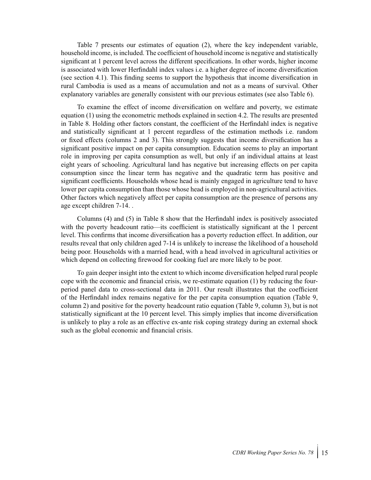Table 7 presents our estimates of equation (2), where the key independent variable, household income, is included. The coefficient of household income is negative and statistically significant at 1 percent level across the different specifications. In other words, higher income is associated with lower Herfindahl index values i.e. a higher degree of income diversification (see section 4.1). This finding seems to support the hypothesis that income diversification in rural Cambodia is used as a means of accumulation and not as a means of survival. Other explanatory variables are generally consistent with our previous estimates (see also Table 6).

To examine the effect of income diversification on welfare and poverty, we estimate equation (1) using the econometric methods explained in section 4.2. The results are presented in Table 8. Holding other factors constant, the coefficient of the Herfindahl index is negative and statistically significant at 1 percent regardless of the estimation methods i.e. random or fixed effects (columns 2 and 3). This strongly suggests that income diversification has a significant positive impact on per capita consumption. Education seems to play an important role in improving per capita consumption as well, but only if an individual attains at least eight years of schooling. Agricultural land has negative but increasing effects on per capita consumption since the linear term has negative and the quadratic term has positive and significant coefficients. Households whose head is mainly engaged in agriculture tend to have lower per capita consumption than those whose head is employed in non-agricultural activities. Other factors which negatively affect per capita consumption are the presence of persons any age except children 7-14. .

Columns (4) and (5) in Table 8 show that the Herfindahl index is positively associated with the poverty headcount ratio—its coefficient is statistically significant at the 1 percent level. This confirms that income diversification has a poverty reduction effect. In addition, our results reveal that only children aged 7-14 is unlikely to increase the likelihood of a household being poor. Households with a married head, with a head involved in agricultural activities or which depend on collecting firewood for cooking fuel are more likely to be poor.

To gain deeper insight into the extent to which income diversification helped rural people cope with the economic and financial crisis, we re-estimate equation (1) by reducing the fourperiod panel data to cross-sectional data in 2011. Our result illustrates that the coefficient of the Herfindahl index remains negative for the per capita consumption equation (Table 9, column 2) and positive for the poverty headcount ratio equation (Table 9, column 3), but is not statistically significant at the 10 percent level. This simply implies that income diversification is unlikely to play a role as an effective ex-ante risk coping strategy during an external shock such as the global economic and financial crisis.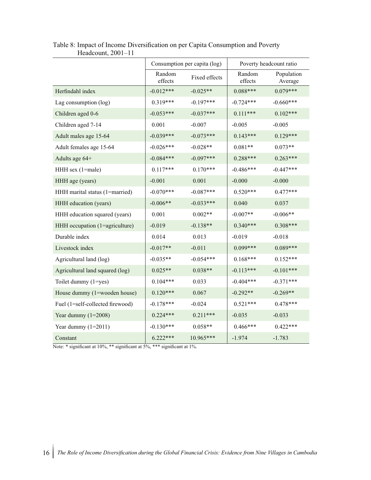|                                  | Consumption per capita (log) |               | Poverty headcount ratio |                       |
|----------------------------------|------------------------------|---------------|-------------------------|-----------------------|
|                                  | Random<br>effects            | Fixed effects | Random<br>effects       | Population<br>Average |
| Herfindahl index                 | $-0.012***$                  | $-0.025**$    | $0.088***$              | $0.079***$            |
| Lag consumption (log)            | $0.319***$                   | $-0.197***$   | $-0.724***$             | $-0.660***$           |
| Children aged 0-6                | $-0.053***$                  | $-0.037***$   | $0.111***$              | $0.102***$            |
| Children aged 7-14               | 0.001                        | $-0.007$      | $-0.005$                | $-0.005$              |
| Adult males age 15-64            | $-0.039***$                  | $-0.073***$   | $0.143***$              | $0.129***$            |
| Adult females age 15-64          | $-0.026***$                  | $-0.028**$    | $0.081**$               | $0.073**$             |
| Adults age 64+                   | $-0.084***$                  | $-0.097***$   | $0.288***$              | $0.263***$            |
| HHH sex (1=male)                 | $0.117***$                   | $0.170***$    | $-0.486***$             | $-0.447***$           |
| HHH age (years)                  | $-0.001$                     | 0.001         | $-0.000$                | $-0.000$              |
| HHH marital status (1=married)   | $-0.070***$                  | $-0.087***$   | $0.520***$              | $0.477***$            |
| HHH education (years)            | $-0.006**$                   | $-0.033***$   | 0.040                   | 0.037                 |
| HHH education squared (years)    | 0.001                        | $0.002**$     | $-0.007**$              | $-0.006**$            |
| HHH occupation (1=agriculture)   | $-0.019$                     | $-0.138**$    | $0.340***$              | $0.308***$            |
| Durable index                    | 0.014                        | 0.013         | $-0.019$                | $-0.018$              |
| Livestock index                  | $-0.017**$                   | $-0.011$      | $0.099***$              | $0.089***$            |
| Agricultural land (log)          | $-0.035**$                   | $-0.054***$   | $0.168***$              | $0.152***$            |
| Agricultural land squared (log)  | $0.025**$                    | $0.038**$     | $-0.113***$             | $-0.101***$           |
| Toilet dummy (1=yes)             | $0.104***$                   | 0.033         | $-0.404***$             | $-0.371***$           |
| House dummy (1=wooden house)     | $0.120***$                   | 0.067         | $-0.292**$              | $-0.269**$            |
| Fuel (1=self-collected firewood) | $-0.178***$                  | $-0.024$      | $0.521***$              | $0.478***$            |
| Year dummy $(1=2008)$            | $0.224***$                   | $0.211***$    | $-0.035$                | $-0.033$              |
| Year dummy $(1=2011)$            | $-0.130***$                  | $0.058**$     | $0.466***$              | $0.422***$            |
| Constant                         | $6.222***$                   | 10.965***     | $-1.974$                | $-1.783$              |

Table 8: Impact of Income Diversification on per Capita Consumption and Poverty Headcount, 2001–11

Note: \* significant at 10%, \*\* significant at 5%, \*\*\* significant at 1%.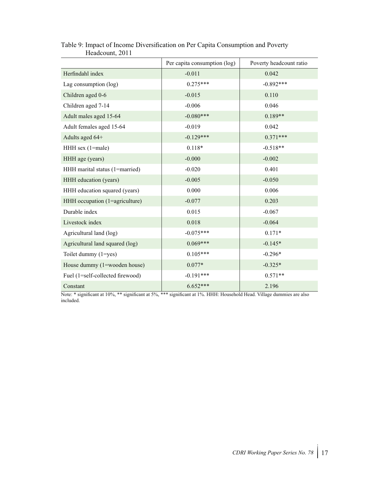|                                  | Per capita consumption (log) | Poverty headcount ratio |  |
|----------------------------------|------------------------------|-------------------------|--|
| Herfindahl index                 | $-0.011$                     | 0.042                   |  |
| Lag consumption (log)            | $0.275***$                   | $-0.892***$             |  |
| Children aged 0-6                | $-0.015$                     | 0.110                   |  |
| Children aged 7-14               | $-0.006$                     | 0.046                   |  |
| Adult males aged 15-64           | $-0.080***$                  | $0.189**$               |  |
| Adult females aged 15-64         | $-0.019$                     | 0.042                   |  |
| Adults aged 64+                  | $-0.129***$                  | $0.371***$              |  |
| $HHH$ sex (1=male)               | $0.118*$                     | $-0.518**$              |  |
| HHH age (years)                  | $-0.000$                     | $-0.002$                |  |
| HHH marital status (1=married)   | $-0.020$                     | 0.401                   |  |
| HHH education (years)            | $-0.005$                     | $-0.050$                |  |
| HHH education squared (years)    | 0.000                        | 0.006                   |  |
| HHH occupation (1=agriculture)   | $-0.077$                     | 0.203                   |  |
| Durable index                    | 0.015                        | $-0.067$                |  |
| Livestock index                  | 0.018                        | $-0.064$                |  |
| Agricultural land (log)          | $-0.075***$                  | $0.171*$                |  |
| Agricultural land squared (log)  | $0.069***$                   | $-0.145*$               |  |
| Toilet dummy (1=yes)             | $0.105***$                   | $-0.296*$               |  |
| House dummy (1=wooden house)     | $0.077*$                     | $-0.325*$               |  |
| Fuel (1=self-collected firewood) | $-0.191***$                  | $0.571**$               |  |
| Constant                         | $6.652***$                   | 2.196                   |  |

#### Table 9: Impact of Income Diversification on Per Capita Consumption and Poverty Headcount, 2011

Note: \* significant at 10%, \*\* significant at 5%, \*\*\* significant at 1%. HHH: Household Head. Village dummies are also included.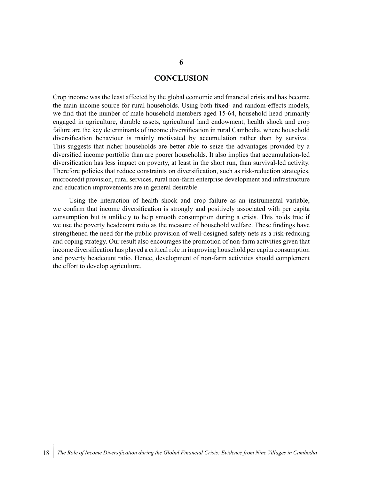#### **CONCLUSION**

Crop income was the least affected by the global economic and financial crisis and has become the main income source for rural households. Using both fixed- and random-effects models, we find that the number of male household members aged 15-64, household head primarily engaged in agriculture, durable assets, agricultural land endowment, health shock and crop failure are the key determinants of income diversification in rural Cambodia, where household diversification behaviour is mainly motivated by accumulation rather than by survival. This suggests that richer households are better able to seize the advantages provided by a diversified income portfolio than are poorer households. It also implies that accumulation-led diversification has less impact on poverty, at least in the short run, than survival-led activity. Therefore policies that reduce constraints on diversification, such as risk-reduction strategies, microcredit provision, rural services, rural non-farm enterprise development and infrastructure and education improvements are in general desirable.

Using the interaction of health shock and crop failure as an instrumental variable, we confirm that income diversification is strongly and positively associated with per capita consumption but is unlikely to help smooth consumption during a crisis. This holds true if we use the poverty headcount ratio as the measure of household welfare. These findings have strengthened the need for the public provision of well-designed safety nets as a risk-reducing and coping strategy. Our result also encourages the promotion of non-farm activities given that income diversification has played a critical role in improving household per capita consumption and poverty headcount ratio. Hence, development of non-farm activities should complement the effort to develop agriculture.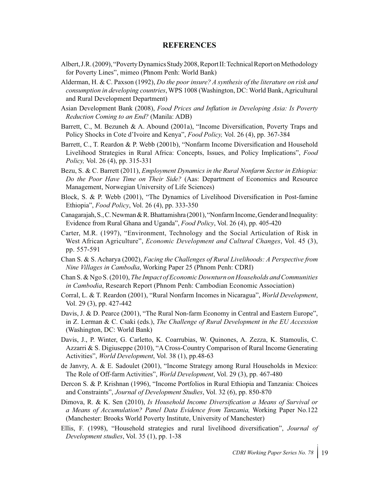#### **REFERENCES**

- Albert, J.R. (2009), "Poverty Dynamics Study 2008, Report II: Technical Report on Methodology for Poverty Lines", mimeo (Phnom Penh: World Bank)
- Alderman, H. & C. Paxson (1992), *Do the poor insure? A synthesis of the literature on risk and consumption in developing countries*, WPS 1008 (Washington, DC: World Bank, Agricultural and Rural Development Department)
- Asian Development Bank (2008), *Food Prices and Inflation in Developing Asia: Is Poverty Reduction Coming to an End?* (Manila: ADB)
- Barrett, C., M. Bezuneh & A. Abound (2001a), "Income Diversification, Poverty Traps and Policy Shocks in Cote d'Ivoire and Kenya", *Food Policy,* Vol. 26 (4), pp. 367-384
- Barrett, C., T. Reardon & P. Webb (2001b), "Nonfarm Income Diversification and Household Livelihood Strategies in Rural Africa: Concepts, Issues, and Policy Implications", *Food Policy,* Vol. 26 (4), pp. 315-331
- Bezu, S. & C. Barrett (2011), *Employment Dynamics in the Rural Nonfarm Sector in Ethiopia: Do the Poor Have Time on Their Side?* (Aas: Department of Economics and Resource Management, Norwegian University of Life Sciences)
- Block, S. & P. Webb (2001), "The Dynamics of Livelihood Diversification in Post-famine Ethiopia", *Food Policy*, Vol. 26 (4), pp. 333-350
- Canagarajah, S., C. Newman & R. Bhattamishra (2001), "Nonfarm Income, Gender and Inequality: Evidence from Rural Ghana and Uganda", *Food Policy*, Vol. 26 (4), pp. 405-420
- Carter, M.R. (1997), "Environment, Technology and the Social Articulation of Risk in West African Agriculture", *Economic Development and Cultural Changes*, Vol. 45 (3), pp. 557-591
- Chan S. & S. Acharya (2002), *Facing the Challenges of Rural Livelihoods: A Perspective from Nine Villages in Cambodia*, Working Paper 25 (Phnom Penh: CDRI)
- Chan S. & Ngo S. (2010), *The Impact of Economic Downturn on Households and Communities in Cambodia*, Research Report (Phnom Penh: Cambodian Economic Association)
- Corral, L. & T. Reardon (2001), "Rural Nonfarm Incomes in Nicaragua", *World Development*, Vol. 29 (3), pp. 427-442
- Davis, J. & D. Pearce (2001), "The Rural Non-farm Economy in Central and Eastern Europe", in Z. Lerman & C. Csaki (eds.), *The Challenge of Rural Development in the EU Accession* (Washington, DC: World Bank)
- Davis, J., P. Winter, G. Carletto, K. Coarrubias, W. Quinones, A. Zezza, K. Stamoulis, C. Azzarri & S. Digiuseppe (2010), "A Cross-Country Comparison of Rural Income Generating Activities", *World Development*, Vol. 38 (1), pp.48-63
- de Janvry, A. & E. Sadoulet (2001), "Income Strategy among Rural Households in Mexico: The Role of Off-farm Activities", *World Development*, Vol. 29 (3), pp. 467-480
- Dercon S. & P. Krishnan (1996), "Income Portfolios in Rural Ethiopia and Tanzania: Choices and Constraints", *Journal of Development Studies*, Vol. 32 (6), pp. 850-870
- Dimova, R. & K. Sen (2010), *Is Household Income Diversification a Means of Survival or a Means of Accumulation? Panel Data Evidence from Tanzania,* Working Paper No.122 (Manchester: Brooks World Poverty Institute, University of Manchester)
- Ellis, F. (1998), "Household strategies and rural livelihood diversification", *Journal of Development studies*, Vol. 35 (1), pp. 1-38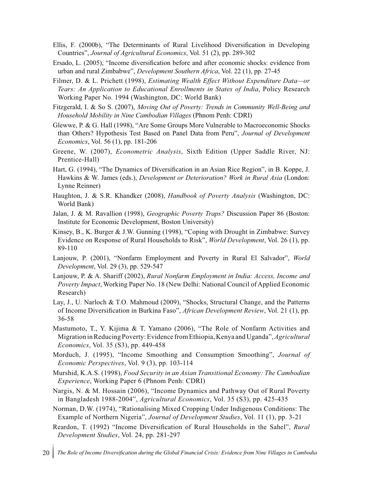- Ellis, F. (2000b), "The Determinants of Rural Livelihood Diversification in Developing Countries", *Journal of Agricultural Economics*, Vol. 51 (2), pp. 289-302
- Ersado, L. (2005), "Income diversification before and after economic shocks: evidence from urban and rural Zimbabwe", *Development Southern Africa*, Vol. 22 (1), pp. 27-45
- Filmer, D. & L. Prichett (1998), *Estimating Wealth Effect Without Expenditure Data—or Tears: An Application to Educational Enrollments in States of India*, Policy Research Working Paper No. 1994 (Washington, DC: World Bank)
- Fitzgerald, I. & So S. (2007), *Moving Out of Poverty: Trends in Community Well-Being and Household Mobility in Nine Cambodian Villages* (Phnom Penh: CDRI)
- Glewwe, P. & G. Hall (1998), "Are Some Groups More Vulnerable to Macroeconomic Shocks than Others? Hypothesis Test Based on Panel Data from Peru", *Journal of Development Economics*, Vol. 56 (1), pp. 181-206
- Greene, W. (2007), *Econometric Analysis*, Sixth Edition (Upper Saddle River, NJ: Prentice-Hall)
- Hart, G. (1994), "The Dynamics of Diversification in an Asian Rice Region", in B. Koppe, J. Hawkins & W. James (eds.), *Development or Deterioration? Work in Rural Asia* (London: Lynne Reinner)
- Haughton, J. & S.R. Khandker (2008), *Handbook of Poverty Analysis* (Washington, DC: World Bank)
- Jalan, J. & M. Ravallion (1998), *Geographic Poverty Traps?* Discussion Paper 86 (Boston: Institute for Economic Development, Boston University)
- Kinsey, B., K. Burger & J.W. Gunning (1998), "Coping with Drought in Zimbabwe: Survey Evidence on Response of Rural Households to Risk", *World Development*, Vol. 26 (1), pp. 89-110
- Lanjouw, P. (2001), "Nonfarm Employment and Poverty in Rural El Salvador", *World Development*, Vol. 29 (3), pp. 529-547
- Lanjouw, P. & A. Shariff (2002), *Rural Nonfarm Employment in India: Access, Income and Poverty Impact*, Working Paper No. 18 (New Delhi: National Council of Applied Economic Research)
- Lay, J., U. Narloch & T.O. Mahmoud (2009), "Shocks, Structural Change, and the Patterns of Income Diversification in Burkina Faso", *African Development Review*, Vol. 21 (1), pp. 36-58
- Mastumoto, T., Y. Kijima & T. Yamano (2006), "The Role of Nonfarm Activities and Migration in Reducing Poverty: Evidence from Ethiopia, Kenya and Uganda", *Agricultural Economics*, Vol. 35 (S3), pp. 449-458
- Morduch, J. (1995), "Income Smoothing and Consumption Smoothing", *Journal of Economic Perspectives*, Vol. 9 (3), pp. 103-114
- Murshid, K.A.S. (1998), *Food Security in an Asian Transitional Economy: The Cambodian Experience*, Working Paper 6 (Phnom Penh: CDRI)
- Nargis, N. & M. Hossain (2006), "Income Dynamics and Pathway Out of Rural Poverty in Bangladesh 1988-2004", *Agricultural Economics*, Vol. 35 (S3), pp. 425-435
- Norman, D.W. (1974), "Rationalising Mixed Cropping Under Indigenous Conditions: The Example of Northern Nigeria", *Journal of Development Studies*, Vol. 11 (1), pp. 3-21
- Reardon, T. (1992) "Income Diversification of Rural Households in the Sahel", *Rural Development Studies*, Vol. 24, pp. 281-297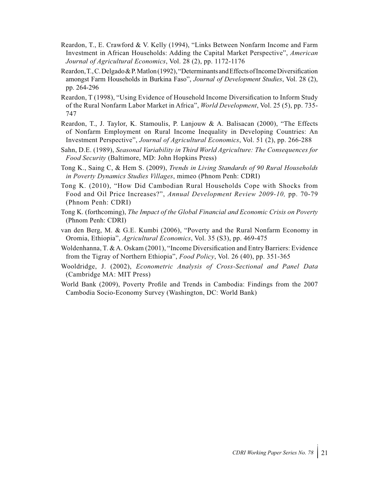- Reardon, T., E. Crawford & V. Kelly (1994), "Links Between Nonfarm Income and Farm Investment in African Households: Adding the Capital Market Perspective", *American Journal of Agricultural Economics*, Vol. 28 (2), pp. 1172-1176
- Reardon, T., C. Delgado & P. Matlon (1992), "Determinants and Effects of Income Diversification amongst Farm Households in Burkina Faso", *Journal of Development Studies*, Vol. 28 (2), pp. 264-296
- Reardon, T (1998), "Using Evidence of Household Income Diversification to Inform Study of the Rural Nonfarm Labor Market in Africa", *World Development*, Vol. 25 (5), pp. 735- 747
- Reardon, T., J. Taylor, K. Stamoulis, P. Lanjouw & A. Balisacan (2000), "The Effects of Nonfarm Employment on Rural Income Inequality in Developing Countries: An Investment Perspective", *Journal of Agricultural Economics*, Vol. 51 (2), pp. 266-288
- Sahn, D.E. (1989), *Seasonal Variability in Third World Agriculture: The Consequences for Food Security* (Baltimore, MD: John Hopkins Press)
- Tong K., Saing C, & Hem S. (2009), *Trends in Living Standards of 90 Rural Households in Poverty Dynamics Studies Villages*, mimeo (Phnom Penh: CDRI)
- Tong K. (2010), "How Did Cambodian Rural Households Cope with Shocks from Food and Oil Price Increases?", *Annual Development Review 2009-10,* pp. 70-79 (Phnom Penh: CDRI)
- Tong K. (forthcoming), *The Impact of the Global Financial and Economic Crisis on Poverty* (Phnom Penh: CDRI)
- van den Berg, M. & G.E. Kumbi (2006), "Poverty and the Rural Nonfarm Economy in Oromia, Ethiopia", *Agricultural Economics*, Vol. 35 (S3), pp. 469-475
- Woldenhanna, T. & A. Oskam (2001), "Income Diversification and Entry Barriers: Evidence from the Tigray of Northern Ethiopia", *Food Policy*, Vol. 26 (40), pp. 351-365
- Wooldridge, J. (2002), *Econometric Analysis of Cross-Sectional and Panel Data* (Cambridge MA: MIT Press)
- World Bank (2009), Poverty Profile and Trends in Cambodia: Findings from the 2007 Cambodia Socio-Economy Survey (Washington, DC: World Bank)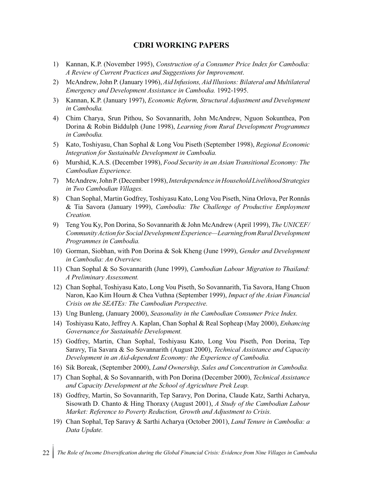#### **CDRI WORKING PAPERS**

- 1) Kannan, K.P. (November 1995), *Construction of a Consumer Price Index for Cambodia: A Review of Current Practices and Suggestions for Improvement*.
- 2) McAndrew, John P. (January 1996), *Aid Infusions, Aid Illusions: Bilateral and Multilateral Emergency and Development Assistance in Cambodia.* 1992-1995.
- 3) Kannan, K.P. (January 1997), *Economic Reform, Structural Adjustment and Development in Cambodia.*
- 4) Chim Charya, Srun Pithou, So Sovannarith, John McAndrew, Nguon Sokunthea, Pon Dorina & Robin Biddulph (June 1998), *Learning from Rural Development Programmes in Cambodia.*
- 5) Kato, Toshiyasu, Chan Sophal & Long Vou Piseth (September 1998), *Regional Economic Integration for Sustainable Development in Cambodia.*
- 6) Murshid, K.A.S. (December 1998), *Food Security in an Asian Transitional Economy: The Cambodian Experience.*
- 7) McAndrew, John P. (December 1998), *Interdependence in Household Livelihood Strategies in Two Cambodian Villages.*
- 8) Chan Sophal, Martin Godfrey, Toshiyasu Kato, Long Vou Piseth, Nina Orlova, Per Ronnås & Tia Savora (January 1999), *Cambodia: The Challenge of Productive Employment Creation.*
- 9) Teng You Ky, Pon Dorina, So Sovannarith & John McAndrew (April 1999), *The UNICEF/ Community Action for Social Development Experience—Learning from Rural Development Programmes in Cambodia.*
- 10) Gorman, Siobhan, with Pon Dorina & Sok Kheng (June 1999), *Gender and Development in Cambodia: An Overview.*
- 11) Chan Sophal & So Sovannarith (June 1999), *Cambodian Labour Migration to Thailand: A Preliminary Assessment.*
- 12) Chan Sophal, Toshiyasu Kato, Long Vou Piseth, So Sovannarith, Tia Savora, Hang Chuon Naron, Kao Kim Hourn & Chea Vuthna (September 1999), *Impact of the Asian Financial Crisis on the SEATEs: The Cambodian Perspective.*
- 13) Ung Bunleng, (January 2000), *Seasonality in the Cambodian Consumer Price Index.*
- 14) Toshiyasu Kato, Jeffrey A. Kaplan, Chan Sophal & Real Sopheap (May 2000), *Enhancing Governance for Sustainable Development.*
- 15) Godfrey, Martin, Chan Sophal, Toshiyasu Kato, Long Vou Piseth, Pon Dorina, Tep Saravy, Tia Savara & So Sovannarith (August 2000), *Technical Assistance and Capacity Development in an Aid-dependent Economy: the Experience of Cambodia.*
- 16) Sik Boreak, (September 2000), *Land Ownership, Sales and Concentration in Cambodia.*
- 17) Chan Sophal, & So Sovannarith, with Pon Dorina (December 2000), *Technical Assistance and Capacity Development at the School of Agriculture Prek Leap.*
- 18) Godfrey, Martin, So Sovannarith, Tep Saravy, Pon Dorina, Claude Katz, Sarthi Acharya, Sisowath D. Chanto & Hing Thoraxy (August 2001), *A Study of the Cambodian Labour Market: Reference to Poverty Reduction, Growth and Adjustment to Crisis.*
- 19) Chan Sophal, Tep Saravy & Sarthi Acharya (October 2001), *Land Tenure in Cambodia: a Data Update.*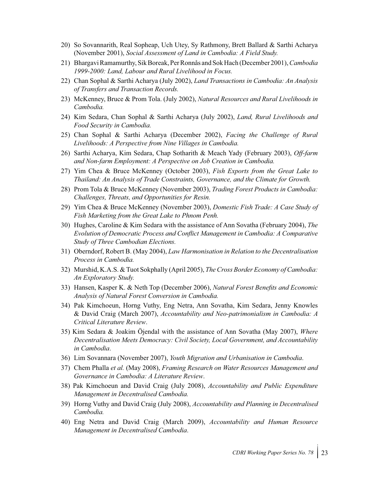- 20) So Sovannarith, Real Sopheap, Uch Utey, Sy Rathmony, Brett Ballard & Sarthi Acharya (November 2001), *Social Assessment of Land in Cambodia: A Field Study.*
- 21) Bhargavi Ramamurthy, Sik Boreak, Per Ronnås and Sok Hach (December 2001), *Cambodia 1999-2000: Land, Labour and Rural Livelihood in Focus.*
- 22) Chan Sophal & Sarthi Acharya (July 2002), *Land Transactions in Cambodia: An Analysis of Transfers and Transaction Records.*
- 23) McKenney, Bruce & Prom Tola. (July 2002), *Natural Resources and Rural Livelihoods in Cambodia.*
- 24) Kim Sedara, Chan Sophal & Sarthi Acharya (July 2002), *Land, Rural Livelihoods and Food Security in Cambodia.*
- 25) Chan Sophal & Sarthi Acharya (December 2002), *Facing the Challenge of Rural Livelihoods: A Perspective from Nine Villages in Cambodia.*
- 26) Sarthi Acharya, Kim Sedara, Chap Sotharith & Meach Yady (February 2003), *Off-farm and Non-farm Employment: A Perspective on Job Creation in Cambodia.*
- 27) Yim Chea & Bruce McKenney (October 2003), *Fish Exports from the Great Lake to Thailand: An Analysis of Trade Constraints, Governance, and the Climate for Growth.*
- 28) Prom Tola & Bruce McKenney (November 2003), *Trading Forest Products in Cambodia: Challenges, Threats, and Opportunities for Resin.*
- 29) Yim Chea & Bruce McKenney (November 2003), *Domestic Fish Trade: A Case Study of Fish Marketing from the Great Lake to Phnom Penh.*
- 30) Hughes, Caroline & Kim Sedara with the assistance of Ann Sovatha (February 2004), *The Evolution of Democratic Process and Conflict Management in Cambodia: A Comparative Study of Three Cambodian Elections.*
- 31) Oberndorf, Robert B. (May 2004), *Law Harmonisation in Relation to the Decentralisation Process in Cambodia.*
- 32) Murshid, K.A.S. & Tuot Sokphally (April 2005), *The Cross Border Economy of Cambodia: An Exploratory Study.*
- 33) Hansen, Kasper K. & Neth Top (December 2006), *Natural Forest Benefits and Economic Analysis of Natural Forest Conversion in Cambodia.*
- 34) Pak Kimchoeun, Horng Vuthy, Eng Netra, Ann Sovatha, Kim Sedara, Jenny Knowles & David Craig (March 2007), *Accountability and Neo-patrimonialism in Cambodia: A Critical Literature Review*.
- 35) Kim Sedara & Joakim Öjendal with the assistance of Ann Sovatha (May 2007), *Where Decentralisation Meets Democracy: Civil Society, Local Government, and Accountability in Cambodia*.
- 36) Lim Sovannara (November 2007), *Youth Migration and Urbanisation in Cambodia*.
- 37) Chem Phalla *et al.* (May 2008), *Framing Research on Water Resources Management and Governance in Cambodia: A Literature Review*.
- 38) Pak Kimchoeun and David Craig (July 2008), *Accountability and Public Expenditure Management in Decentralised Cambodia.*
- 39) Horng Vuthy and David Craig (July 2008), *Accountability and Planning in Decentralised Cambodia.*
- 40) Eng Netra and David Craig (March 2009), *Accountability and Human Resource Management in Decentralised Cambodia*.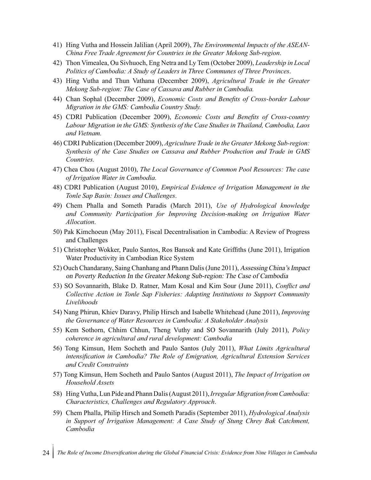- 41) Hing Vutha and Hossein Jalilian (April 2009), *The Environmental Impacts of the ASEAN-China Free Trade Agreement for Countries in the Greater Mekong Sub-region*.
- 42) Thon Vimealea, Ou Sivhuoch, Eng Netra and Ly Tem (October 2009), *Leadership in Local Politics of Cambodia: A Study of Leaders in Three Communes of Three Provinces*.
- 43) Hing Vutha and Thun Vathana (December 2009), *Agricultural Trade in the Greater Mekong Sub-region: The Case of Cassava and Rubber in Cambodia.*
- 44) Chan Sophal (December 2009), *Economic Costs and Benefits of Cross-border Labour Migration in the GMS: Cambodia Country Study.*
- 45) CDRI Publication (December 2009), *Economic Costs and Benefits of Cross-country Labour Migration in the GMS: Synthesis of the Case Studies in Thailand, Cambodia, Laos and Vietnam.*
- 46) CDRI Publication (December 2009), *Agriculture Trade in the Greater Mekong Sub-region: Synthesis of the Case Studies on Cassava and Rubber Production and Trade in GMS Countries.*
- 47) Chea Chou (August 2010), *The Local Governance of Common Pool Resources: The case of Irrigation Water in Cambodia*.
- 48) CDRI Publication (August 2010), *Empirical Evidence of Irrigation Management in the Tonle Sap Basin: Issues and Challenges*.
- 49) Chem Phalla and Someth Paradis (March 2011), *Use of Hydrological knowledge and Community Participation for Improving Decision-making on Irrigation Water Allocation*.
- 50) Pak Kimchoeun (May 2011), Fiscal Decentralisation in Cambodia: A Review of Progress and Challenges
- 51) Christopher Wokker, Paulo Santos, Ros Bansok and Kate Griffiths (June 2011), Irrigation Water Productivity in Cambodian Rice System
- 52) Ouch Chandarany, Saing Chanhang and Phann Dalis (June 2011), Assessing China's Impact on Poverty Reduction In the Greater Mekong Sub-region: The Case of Cambodia
- 53) SO Sovannarith, Blake D. Ratner, Mam Kosal and Kim Sour (June 2011), *Conflict and Collective Action in Tonle Sap Fisheries: Adapting Institutions to Support Community Livelihoods*
- 54) Nang Phirun, Khiev Daravy, Philip Hirsch and Isabelle Whitehead (June 2011), *Improving the Governance of Water Resources in Cambodia: A Stakeholder Analysis*
- 55) Kem Sothorn, Chhim Chhun, Theng Vuthy and SO Sovannarith (July 2011), *Policy coherence in agricultural and rural development: Cambodia*
- 56) Tong Kimsun, Hem Socheth and Paulo Santos (July 2011), *What Limits Agricultural intensification in Cambodia? The Role of Emigration, Agricultural Extension Services and Credit Constraints*
- 57) Tong Kimsun, Hem Socheth and Paulo Santos (August 2011), *The Impact of Irrigation on Household Assets*
- 58) Hing Vutha, Lun Pide and Phann Dalis (August 2011), *Irregular Migration from Cambodia: Characteristics, Challenges and Regulatory Approach*.
- 59) Chem Phalla, Philip Hirsch and Someth Paradis (September 2011), *Hydrological Analysis in Support of Irrigation Management: A Case Study of Stung Chrey Bak Catchment, Cambodia*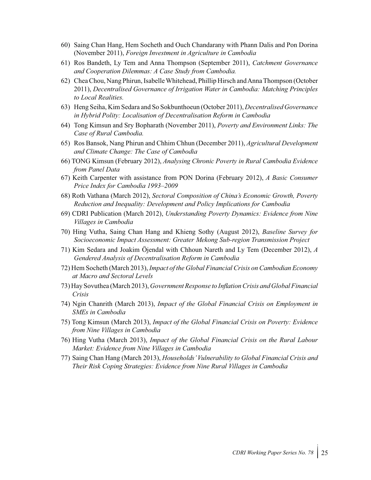- 60) Saing Chan Hang, Hem Socheth and Ouch Chandarany with Phann Dalis and Pon Dorina (November 2011), *Foreign Investment in Agriculture in Cambodia*
- 61) Ros Bandeth, Ly Tem and Anna Thompson (September 2011), *Catchment Governance and Cooperation Dilemmas: A Case Study from Cambodia.*
- 62) Chea Chou, Nang Phirun, Isabelle Whitehead, Phillip Hirsch and Anna Thompson (October 2011), *Decentralised Governance of Irrigation Water in Cambodia: Matching Principles to Local Realities.*
- 63) Heng Seiha, Kim Sedara and So Sokbunthoeun (October 2011), *Decentralised Governance in Hybrid Polity: Localisation of Decentralisation Reform in Cambodia*
- 64) Tong Kimsun and Sry Bopharath (November 2011), *Poverty and Environment Links: The Case of Rural Cambodia.*
- 65) Ros Bansok, Nang Phirun and Chhim Chhun (December 2011), *Agricultural Development and Climate Change: The Case of Cambodia*
- 66) TONG Kimsun (February 2012), *Analysing Chronic Poverty in Rural Cambodia Evidence from Panel Data*
- 67) Keith Carpenter with assistance from PON Dorina (February 2012), *A Basic Consumer Price Index for Cambodia 1993–2009*
- 68) Roth Vathana (March 2012), *Sectoral Composition of China's Economic Growth, Poverty Reduction and Inequality: Development and Policy Implications for Cambodia*
- 69) CDRI Publication (March 2012), *Understanding Poverty Dynamics: Evidence from Nine Villages in Cambodia*
- 70) Hing Vutha, Saing Chan Hang and Khieng Sothy (August 2012), *Baseline Survey for Socioeconomic Impact Assessment: Greater Mekong Sub-region Transmission Project*
- 71) Kim Sedara and Joakim Öjendal with Chhoun Nareth and Ly Tem (December 2012), *A Gendered Analysis of Decentralisation Reform in Cambodia*
- 72) Hem Socheth (March 2013), *Impact of the Global Financial Crisis on Cambodian Economy at Macro and Sectoral Levels*
- 73) Hay Sovuthea (March 2013), *Government Response to Inflation Crisis and Global Financial Crisis*
- 74) Ngin Chanrith (March 2013), *Impact of the Global Financial Crisis on Employment in SMEs in Cambodia*
- 75) Tong Kimsun (March 2013), *Impact of the Global Financial Crisis on Poverty: Evidence from Nine Villages in Cambodia*
- 76) Hing Vutha (March 2013), *Impact of the Global Financial Crisis on the Rural Labour Market: Evidence from Nine Villages in Cambodia*
- 77) Saing Chan Hang (March 2013), *Households' Vulnerability to Global Financial Crisis and Their Risk Coping Strategies: Evidence from Nine Rural Villages in Cambodia*